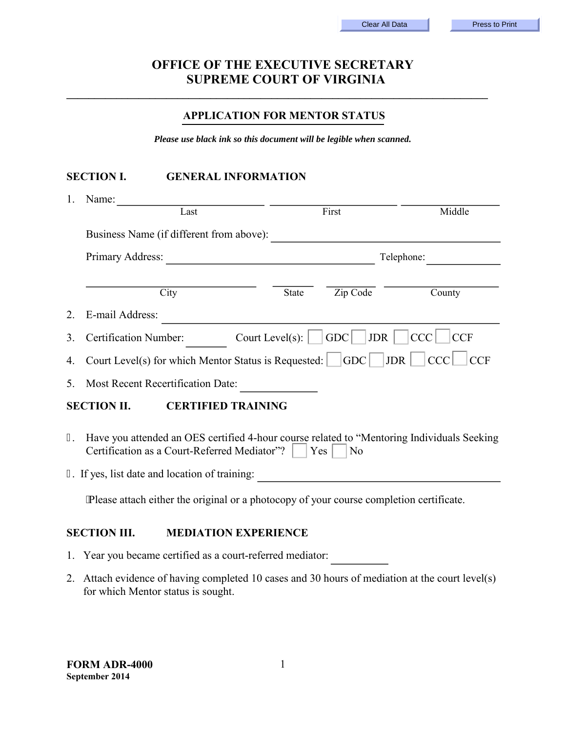# **OFFICE OF THE EXECUTIVE SECRETARY SUPREME COURT OF VIRGINIA**

**\_\_\_\_\_\_\_\_\_\_\_\_\_\_\_\_\_\_\_\_\_\_\_\_\_\_\_\_\_\_\_\_\_\_\_\_\_\_\_\_\_\_\_\_\_\_\_\_\_\_\_\_\_\_\_\_\_\_\_\_\_\_\_\_\_\_\_\_\_\_\_\_\_\_\_\_**

#### **APPLICATION FOR MENTOR STATUS**

*Please use black ink so this document will be legible when scanned.* 

## **SECTION I. GENERAL INFORMATION**

| 1.                                              | Name:                                                                                                                                                               |                         |                   |                          |
|-------------------------------------------------|---------------------------------------------------------------------------------------------------------------------------------------------------------------------|-------------------------|-------------------|--------------------------|
|                                                 | Last                                                                                                                                                                |                         | First             | Middle                   |
|                                                 | Business Name (if different from above):                                                                                                                            |                         |                   |                          |
|                                                 | Primary Address:                                                                                                                                                    | Telephone:              |                   |                          |
|                                                 | City                                                                                                                                                                | <b>State</b>            | Zip Code          | County                   |
| 2                                               | E-mail Address:                                                                                                                                                     |                         |                   |                          |
| 3                                               | Certification Number:                                                                                                                                               | Court Level(s): $\vert$ | <b>JDR</b><br>GDC | <b>CCC</b><br><b>CCF</b> |
| 4.                                              | Court Level(s) for which Mentor Status is Requested: $ $  GDC    JDR    CCC   CCF                                                                                   |                         |                   |                          |
| 5.                                              | Most Recent Recertification Date:                                                                                                                                   |                         |                   |                          |
| <b>SECTION II.</b><br><b>CERTIFIED TRAINING</b> |                                                                                                                                                                     |                         |                   |                          |
| 3.                                              | Have you attended an OES certified 4-hour course related to "Mentoring Individuals Seeking<br>Certification as a Court-Referred Mediator"?<br>Yes<br>N <sub>0</sub> |                         |                   |                          |
|                                                 | 4. If yes, list date and location of training:                                                                                                                      |                         |                   |                          |
|                                                 |                                                                                                                                                                     |                         |                   |                          |

Please attach either the original or a photocopy of your course completion certificate.

#### **SECTION III. MEDIATION EXPERIENCE**

- 1. Year you became certified as a court-referred mediator:
- 2. Attach evidence of having completed 10 cases and 30 hours of mediation at the court level(s) for which Mentor status is sought.